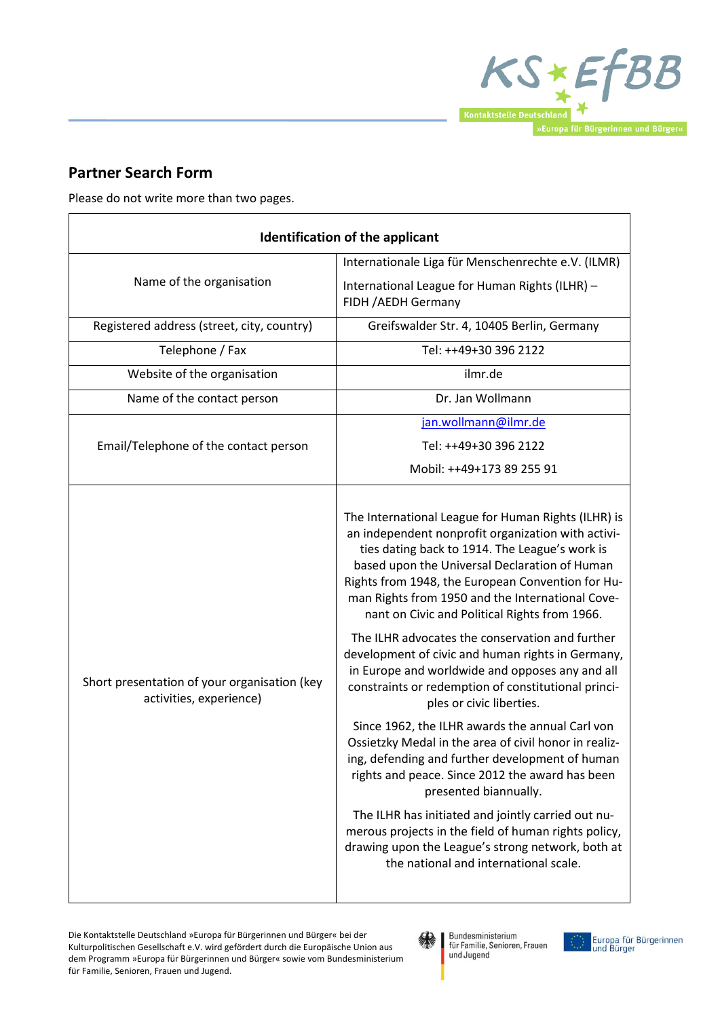

## **Partner Search Form**

Please do not write more than two pages.

| <b>Identification of the applicant</b>                                  |                                                                                                                                                                                                                                                                                                                                                                                                                                                                                                                                                                                                                                                                                                                                                                                                                                                                                                                                                                                                                                                                             |
|-------------------------------------------------------------------------|-----------------------------------------------------------------------------------------------------------------------------------------------------------------------------------------------------------------------------------------------------------------------------------------------------------------------------------------------------------------------------------------------------------------------------------------------------------------------------------------------------------------------------------------------------------------------------------------------------------------------------------------------------------------------------------------------------------------------------------------------------------------------------------------------------------------------------------------------------------------------------------------------------------------------------------------------------------------------------------------------------------------------------------------------------------------------------|
| Name of the organisation                                                | Internationale Liga für Menschenrechte e.V. (ILMR)                                                                                                                                                                                                                                                                                                                                                                                                                                                                                                                                                                                                                                                                                                                                                                                                                                                                                                                                                                                                                          |
|                                                                         | International League for Human Rights (ILHR) -<br>FIDH / AEDH Germany                                                                                                                                                                                                                                                                                                                                                                                                                                                                                                                                                                                                                                                                                                                                                                                                                                                                                                                                                                                                       |
| Registered address (street, city, country)                              | Greifswalder Str. 4, 10405 Berlin, Germany                                                                                                                                                                                                                                                                                                                                                                                                                                                                                                                                                                                                                                                                                                                                                                                                                                                                                                                                                                                                                                  |
| Telephone / Fax                                                         | Tel: ++49+30 396 2122                                                                                                                                                                                                                                                                                                                                                                                                                                                                                                                                                                                                                                                                                                                                                                                                                                                                                                                                                                                                                                                       |
| Website of the organisation                                             | ilmr.de                                                                                                                                                                                                                                                                                                                                                                                                                                                                                                                                                                                                                                                                                                                                                                                                                                                                                                                                                                                                                                                                     |
| Name of the contact person                                              | Dr. Jan Wollmann                                                                                                                                                                                                                                                                                                                                                                                                                                                                                                                                                                                                                                                                                                                                                                                                                                                                                                                                                                                                                                                            |
| Email/Telephone of the contact person                                   | jan.wollmann@ilmr.de                                                                                                                                                                                                                                                                                                                                                                                                                                                                                                                                                                                                                                                                                                                                                                                                                                                                                                                                                                                                                                                        |
|                                                                         | Tel: ++49+30 396 2122                                                                                                                                                                                                                                                                                                                                                                                                                                                                                                                                                                                                                                                                                                                                                                                                                                                                                                                                                                                                                                                       |
|                                                                         | Mobil: ++49+173 89 255 91                                                                                                                                                                                                                                                                                                                                                                                                                                                                                                                                                                                                                                                                                                                                                                                                                                                                                                                                                                                                                                                   |
| Short presentation of your organisation (key<br>activities, experience) | The International League for Human Rights (ILHR) is<br>an independent nonprofit organization with activi-<br>ties dating back to 1914. The League's work is<br>based upon the Universal Declaration of Human<br>Rights from 1948, the European Convention for Hu-<br>man Rights from 1950 and the International Cove-<br>nant on Civic and Political Rights from 1966.<br>The ILHR advocates the conservation and further<br>development of civic and human rights in Germany,<br>in Europe and worldwide and opposes any and all<br>constraints or redemption of constitutional princi-<br>ples or civic liberties.<br>Since 1962, the ILHR awards the annual Carl von<br>Ossietzky Medal in the area of civil honor in realiz-<br>ing, defending and further development of human<br>rights and peace. Since 2012 the award has been<br>presented biannually.<br>The ILHR has initiated and jointly carried out nu-<br>merous projects in the field of human rights policy,<br>drawing upon the League's strong network, both at<br>the national and international scale. |